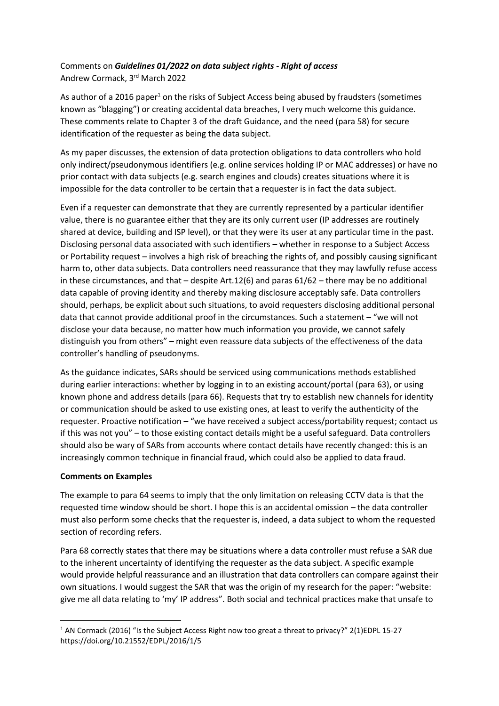## Comments on *Guidelines 01/2022 on data subject rights - Right of access* Andrew Cormack, 3rd March 2022

As author of a 2016 paper<sup>1</sup> on the risks of Subject Access being abused by fraudsters (sometimes known as "blagging") or creating accidental data breaches, I very much welcome this guidance. These comments relate to Chapter 3 of the draft Guidance, and the need (para 58) for secure identification of the requester as being the data subject.

As my paper discusses, the extension of data protection obligations to data controllers who hold only indirect/pseudonymous identifiers (e.g. online services holding IP or MAC addresses) or have no prior contact with data subjects (e.g. search engines and clouds) creates situations where it is impossible for the data controller to be certain that a requester is in fact the data subject.

Even if a requester can demonstrate that they are currently represented by a particular identifier value, there is no guarantee either that they are its only current user (IP addresses are routinely shared at device, building and ISP level), or that they were its user at any particular time in the past. Disclosing personal data associated with such identifiers – whether in response to a Subject Access or Portability request – involves a high risk of breaching the rights of, and possibly causing significant harm to, other data subjects. Data controllers need reassurance that they may lawfully refuse access in these circumstances, and that – despite Art.12(6) and paras 61/62 – there may be no additional data capable of proving identity and thereby making disclosure acceptably safe. Data controllers should, perhaps, be explicit about such situations, to avoid requesters disclosing additional personal data that cannot provide additional proof in the circumstances. Such a statement – "we will not disclose your data because, no matter how much information you provide, we cannot safely distinguish you from others" – might even reassure data subjects of the effectiveness of the data controller's handling of pseudonyms.

As the guidance indicates, SARs should be serviced using communications methods established during earlier interactions: whether by logging in to an existing account/portal (para 63), or using known phone and address details (para 66). Requests that try to establish new channels for identity or communication should be asked to use existing ones, at least to verify the authenticity of the requester. Proactive notification – "we have received a subject access/portability request; contact us if this was not you" – to those existing contact details might be a useful safeguard. Data controllers should also be wary of SARs from accounts where contact details have recently changed: this is an increasingly common technique in financial fraud, which could also be applied to data fraud.

## **Comments on Examples**

The example to para 64 seems to imply that the only limitation on releasing CCTV data is that the requested time window should be short. I hope this is an accidental omission – the data controller must also perform some checks that the requester is, indeed, a data subject to whom the requested section of recording refers.

Para 68 correctly states that there may be situations where a data controller must refuse a SAR due to the inherent uncertainty of identifying the requester as the data subject. A specific example would provide helpful reassurance and an illustration that data controllers can compare against their own situations. I would suggest the SAR that was the origin of my research for the paper: "website: give me all data relating to 'my' IP address". Both social and technical practices make that unsafe to

 $1$  AN Cormack (2016) "Is the Subject Access Right now too great a threat to privacy?" 2(1)EDPL 15-27 https://doi.org/10.21552/EDPL/2016/1/5